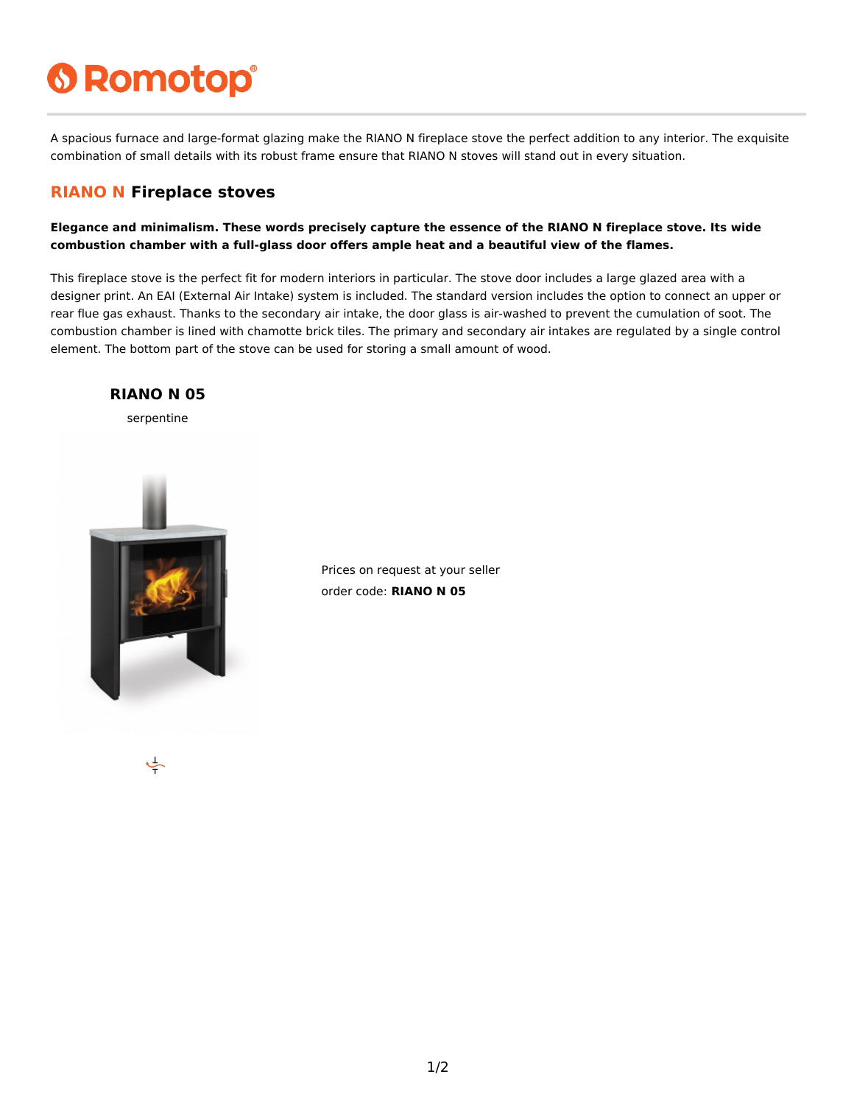# **6 Romotop®**

A spacious furnace and large-format glazing make the RIANO N fireplace stove the perfect addition to any interior. The exquisite combination of small details with its robust frame ensure that RIANO N stoves will stand out in every situation.

#### **RIANO N Fireplace stoves**

**Elegance and minimalism. These words precisely capture the essence of the RIANO N fireplace stove. Its wide combustion chamber with a full-glass door offers ample heat and a beautiful view of the flames.**

This fireplace stove is the perfect fit for modern interiors in particular. The stove door includes a large glazed area with a designer print. An EAI (External Air Intake) system is included. The standard version includes the option to connect an upper or rear flue gas exhaust. Thanks to the secondary air intake, the door glass is air-washed to prevent the cumulation of soot. The combustion chamber is lined with chamotte brick tiles. The primary and secondary air intakes are regulated by a single control element. The bottom part of the stove can be used for storing a small amount of wood.



Prices on request at your seller order code: **RIANO N 05**